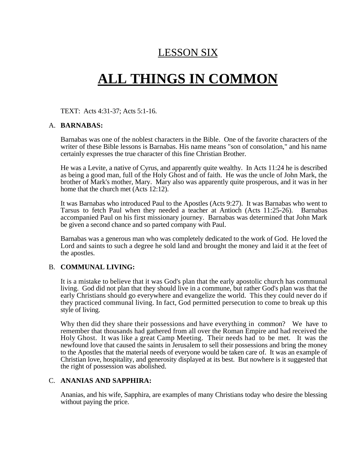## LESSON SIX

# **ALL THINGS IN COMMON**

TEXT: Acts 4:31-37; Acts 5:1-16.

#### A. **BARNABAS:**

Barnabas was one of the noblest characters in the Bible. One of the favorite characters of the writer of these Bible lessons is Barnabas. His name means "son of consolation," and his name certainly expresses the true character of this fine Christian Brother.

He was a Levite, a native of Cyrus, and apparently quite wealthy. In Acts 11:24 he is described as being a good man, full of the Holy Ghost and of faith. He was the uncle of John Mark, the brother of Mark's mother, Mary. Mary also was apparently quite prosperous, and it was in her home that the church met (Acts 12:12).

It was Barnabas who introduced Paul to the Apostles (Acts 9:27). It was Barnabas who went to Tarsus to fetch Paul when they needed a teacher at Antioch (Acts 11:25-26). Barnabas accompanied Paul on his first missionary journey. Barnabas was determined that John Mark be given a second chance and so parted company with Paul.

Barnabas was a generous man who was completely dedicated to the work of God. He loved the Lord and saints to such a degree he sold land and brought the money and laid it at the feet of the apostles.

#### B. **COMMUNAL LIVING:**

It is a mistake to believe that it was God's plan that the early apostolic church has communal living. God did not plan that they should live in a commune, but rather God's plan was that the early Christians should go everywhere and evangelize the world. This they could never do if they practiced communal living. In fact, God permitted persecution to come to break up this style of living.

Why then did they share their possessions and have everything in common? We have to remember that thousands had gathered from all over the Roman Empire and had received the Holy Ghost. It was like a great Camp Meeting. Their needs had to be met. It was the newfound love that caused the saints in Jerusalem to sell their possessions and bring the money to the Apostles that the material needs of everyone would be taken care of. It was an example of Christian love, hospitality, and generosity displayed at its best. But nowhere is it suggested that the right of possession was abolished.

#### C. **ANANIAS AND SAPPHIRA:**

Ananias, and his wife, Sapphira, are examples of many Christians today who desire the blessing without paying the price.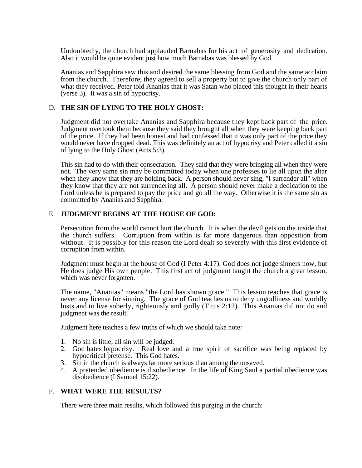Undoubtedly, the church had applauded Barnabas for his act of generosity and dedication. Also it would be quite evident just how much Barnabas was blessed by God.

Ananias and Sapphira saw this and desired the same blessing from God and the same acclaim from the church. Therefore, they agreed to sell a property but to give the church only part of what they received. Peter told Ananias that it was Satan who placed this thought in their hearts (verse 3). It was a sin of hypocrisy.

#### D. **THE SIN OF LYING TO THE HOLY GHOST:**

Judgment did not overtake Ananias and Sapphira because they kept back part of the price. Judgment overtook them because they said they brought all when they were keeping back part of the price. If they had been honest and had confessed that it was only part of the price they would never have dropped dead. This was definitely an act of hypocrisy and Peter called it a sin of lying to the Holy Ghost (Acts 5:3).

This sin had to do with their consecration. They said that they were bringing all when they were not. The very same sin may be committed today when one professes to lie all upon the altar when they know that they are holding back. A person should never sing, "I surrender all" when they know that they are not surrendering all. A person should never make a dedication to the Lord unless he is prepared to pay the price and go all the way. Otherwise it is the same sin as committed by Ananias and Sapphira.

#### E. **JUDGMENT BEGINS AT THE HOUSE OF GOD:**

Persecution from the world cannot hurt the church. It is when the devil gets on the inside that the church suffers. Corruption from within is far more dangerous than opposition from without. It is possibly for this reason the Lord dealt so severely with this first evidence of corruption from within.

Judgment must begin at the house of God (I Peter 4:17). God does not judge sinners now, but He does judge His own people. This first act of judgment taught the church a great lesson, which was never forgotten.

The name, "Ananias" means "the Lord has shown grace." This lesson teaches that grace is never any license for sinning. The grace of God teaches us to deny ungodliness and worldly lusts and to live soberly, righteously and godly (Titus 2:12). This Ananias did not do and judgment was the result.

Judgment here teaches a few truths of which we should take note:

- 1. No sin is little; all sin will be judged.
- 2. God hates hypocrisy. Real love and a true spirit of sacrifice was being replaced by hypocritical pretense. This God hates.
- 3. Sin in the church is always far more serious than among the unsaved.
- 4. A pretended obedience is disobedience. In the life of King Saul a partial obedience was disobedience (I Samuel 15:22).

#### F. **WHAT WERE THE RESULTS?**

There were three main results, which followed this purging in the church: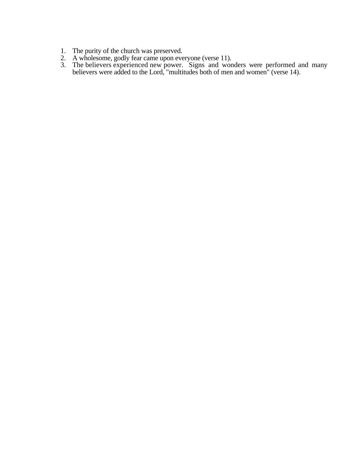- 1. The purity of the church was preserved.
- 2. A wholesome, godly fear came upon everyone (verse 11).
- 3. The believers experienced new power. Signs and wonders were performed and many believers were added to the Lord, "multitudes both of men and women" (verse 14).